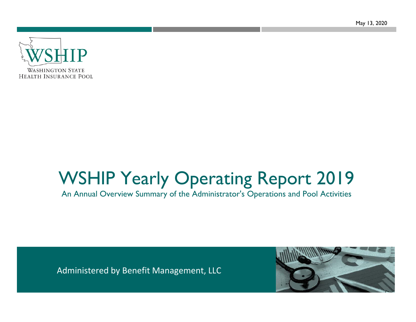May 13, 2020



# WSHIP Yearly Operating Report 2019

An Annual Overview Summary of the Administrator's Operations and Pool Activities

Administered by Benefit Management, LLC

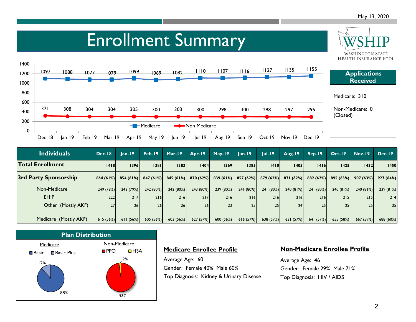**WASHINGTON STATE** 

### Enrollment Summary



| <b>Individuals</b>    | Dec-18    | $lan-19$  | Feb-19    | $Mar-19$ | Apr-19                | $May-19$  | $lun-19$        | $ ul-19 $       | Aug-19   | $Sep-19$  | $Oct-19$        | $Nov-19$  | $Dec-19$  |
|-----------------------|-----------|-----------|-----------|----------|-----------------------|-----------|-----------------|-----------------|----------|-----------|-----------------|-----------|-----------|
| Total Enrollment      | 1418      | 1396      | 1381      | 1383     | 1404                  | 1369      | 1385            | 1410            | 1405     | 1416      | 1425            | 1432      | 1450      |
| 3rd Party Sponsorship | 864(61%)  | 854(61%)  | 847(61%)  |          | $845(61\%)$ 870 (62%) | 839(61%)  | 857 (62%)       | 879(62%)        | 871(62%) | 882 (62%) | 895(63%)        | 907(63%)  | 927(64%)  |
| Non-Medicare          | 249 (78%) | 243 (79%) | 242 (80%) | 242(80%) | 243 (80%)             | 239 (80%) | 241 (80%)       | 241 (80%)       | 240(81%) | 241 (80%) | 240(81%)        | 240 (81%) | 239 (81%) |
| <b>EHIP</b>           | 222       | 217       | 216       | 216      | 217                   | 216       | 216             | 216             | 216      | 216       | 215             | 215       | 214       |
| Other (Mostly AKF)    | 27        | 26        | 26        | 26       | 26 <sub>l</sub>       | 23        | 25 <sub>1</sub> | 25 <sub>1</sub> | 24       | 25        | 25 <sub>1</sub> | 25        | 25        |
|                       |           |           |           |          |                       |           |                 |                 |          |           |                 |           |           |
| Medicare (Mostly AKF) | 615(56%)  | 611(56%)  | 605(56%)  | 603(56%) | 627 (57%)             | 600 (56%) | 616(57%)        | 638 (57%)       | 631(57%) | 641(57%)  | 655(58%)        | 667 (59%) | 688 (60%) |



### **Medicare Enrollee Profile**

Average Age: 60 Gender: Female 40% Male 60% Top Diagnosis: Kidney & Urinary Disease

#### **Non-Medicare Enrollee Profile**

Average Age: 46 Gender: Female 29% Male 71% Top Diagnosis: HIV / AIDS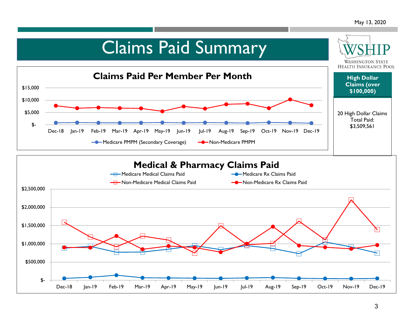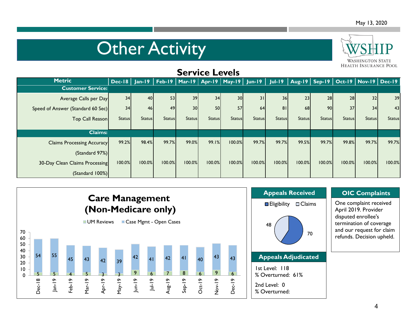## **Other Activity**



| <b>SELAICE FEAGIS</b>             |               |               |               |                 |               |                 |               |               |               |                 |                 |                                                                                                                    |               |
|-----------------------------------|---------------|---------------|---------------|-----------------|---------------|-----------------|---------------|---------------|---------------|-----------------|-----------------|--------------------------------------------------------------------------------------------------------------------|---------------|
| <b>Metric</b>                     |               |               |               |                 |               |                 |               |               |               |                 |                 | Dec-18   Jan-19   Feb-19   Mar-19   Apr-19   May-19   Jun-19   Jul-19   Aug-19   Sep-19   Oct-19   Nov-19   Dec-19 |               |
| <b>Customer Service:</b>          |               |               |               |                 |               |                 |               |               |               |                 |                 |                                                                                                                    |               |
| Average Calls per Day             | 34            | 40            | 53            | 39              | 34            | 30 <sup>1</sup> | 31            | 36            | 23            | 28 <sup>l</sup> | 28 <sup>l</sup> | 32                                                                                                                 | 39            |
| Speed of Answer (Standard 60 Sec) | 34            | 46            | 49            | 30 <sup>1</sup> | 50            | 57              | 64            | 81            | 68            | <b>90</b>       | 37              | 34                                                                                                                 | 43            |
| Top Call Reason                   | <b>Status</b> | <b>Status</b> | <b>Status</b> | <b>Status</b>   | <b>Status</b> | <b>Status</b>   | <b>Status</b> | <b>Status</b> | <b>Status</b> | <b>Status</b>   | <b>Status</b>   | <b>Status</b>                                                                                                      | <b>Status</b> |
| <b>Claims:</b>                    |               |               |               |                 |               |                 |               |               |               |                 |                 |                                                                                                                    |               |
| <b>Claims Processing Accuracy</b> | 99.2%         | 98.4%         | 99.7%         | 99.0%           | 99.1%         | 100.0%          | 99.7%         | 99.7%         | 99.5%         | 99.7%           | 99.8%           | 99.7%                                                                                                              | 99.7%         |
| (Standard 97%)                    |               |               |               |                 |               |                 |               |               |               |                 |                 |                                                                                                                    |               |
| 30-Day Clean Claims Processing    | 100.0%        | 100.0%        | 100.0%        | 100.0%          | 100.0%        | 100.0%          | 100.0%        | 100.0%        | 100.0%        | 100.0%          | 100.0%          | 100.0%                                                                                                             | 100.0%        |
| (Standard 100%)                   |               |               |               |                 |               |                 |               |               |               |                 |                 |                                                                                                                    |               |

**Service Levels** 



### **OIC Complaints**

One complaint received April 2019. Provider disputed enrollee's termination of coverage and our request for claim refunds. Decision upheld.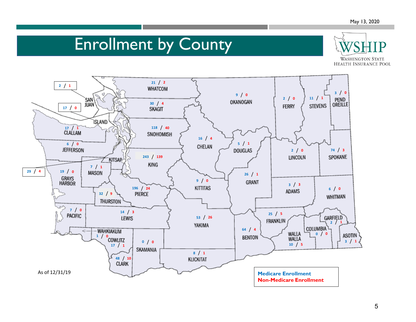### Enrollment by County



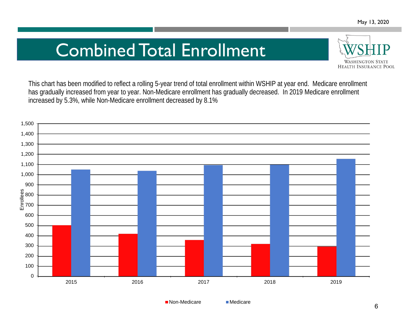### Combined Total Enrollment



This chart has been modified to reflect a rolling 5-year trend of total enrollment within WSHIP at year end. Medicare enrollment has gradually increased from year to year. Non-Medicare enrollment has gradually decreased. In 2019 Medicare enrollment increased by 5.3%, while Non-Medicare enrollment decreased by 8.1%



■ Non-Medicare Medicare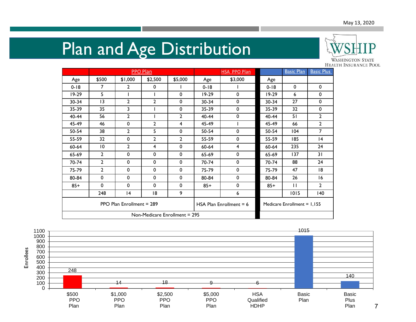# Plan and Age Distribution



|                           |                |                | PPO Plan                        |         |                           | HSA PPO Plan |                               | <b>Basic Plan</b> | <b>Basic Plus</b> |
|---------------------------|----------------|----------------|---------------------------------|---------|---------------------------|--------------|-------------------------------|-------------------|-------------------|
| Age                       | \$500          | \$1,000        | \$2,500                         | \$5,000 | Age                       | \$3,000      | Age                           |                   |                   |
| $0 - 18$                  | 7              | 2              | 0                               |         | $0 - 18$                  |              | $0 - 18$                      | $\mathbf 0$       | $\mathbf 0$       |
| $19-29$                   | 5              |                |                                 | 0       | $19-29$                   | 0            | 19-29                         | 6                 | $\mathbf 0$       |
| 30-34                     | 13             | 2              | $\overline{2}$                  | 0       | 30-34                     | 0            | 30-34                         | 27                | $\mathbf 0$       |
| 35-39                     | 35             | 3              |                                 | 0       | 35-39                     | 0            | 35-39                         | 32                | $\mathbf{0}$      |
| 40-44                     | 56             | 2              |                                 | 2       | 40-44                     | 0            | 40-44                         | 51                | $\overline{2}$    |
| 45-49                     | 46             | $\mathbf 0$    | 2                               | 4       | 45-49                     |              | 45-49                         | 66                | $\overline{2}$    |
| 50-54                     | 38             | $\overline{2}$ | 5                               | 0       | 50-54                     | $\mathbf 0$  | 50-54                         | 104               | $\overline{7}$    |
| 55-59                     | 32             | $\mathbf 0$    | 2                               | 2       | 55-59                     | 0            | 55-59                         | 185               | 4                 |
| 60-64                     | 10             | 2              | 4                               | 0       | $60 - 64$                 | 4            | 60-64                         | 235               | 24                |
| 65-69                     | $\mathbf{2}$   | $\mathbf 0$    | $\mathbf 0$                     | 0       | 65-69                     | $\mathbf 0$  | 65-69                         | 137               | 31                |
| 70-74                     | $\overline{2}$ | $\mathbf 0$    | $\mathbf 0$                     | 0       | 70-74                     | 0            | 70-74                         | 88                | 24                |
| 75-79                     | $\overline{2}$ | $\mathbf 0$    | 0                               | 0       | 75-79                     | $\mathbf 0$  | 75-79                         | 47                | 18                |
| 80-84                     | $\mathbf 0$    | $\mathbf 0$    | $\mathbf 0$                     | 0       | 80-84                     | $\mathbf 0$  | 80-84                         | 26                | 16                |
| $85+$                     | $\mathbf 0$    | $\mathbf 0$    | 0                               | 0       | $85+$                     | 0            | $85+$                         | $\mathbf{H}$      | $\overline{2}$    |
|                           | 248            | 4              | 18                              | 9       |                           | 6            |                               | 1015              | 140               |
| PPO Plan Enrollment = 289 |                |                |                                 |         | HSA Plan Enrollment $= 6$ |              | Medicare Enrollment = $1,155$ |                   |                   |
|                           |                |                | Non-Medicare Enrollment $= 295$ |         |                           |              |                               |                   |                   |

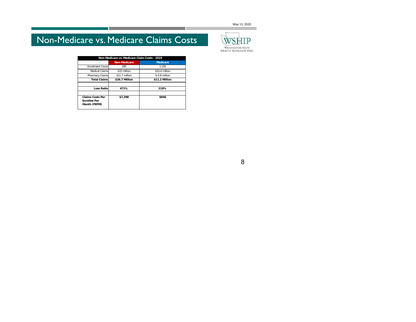May 13, 2020

### Non-Medicare vs. Medicare Claims Costs

| Non-Medicare vs. Medicare Claim Costs - 2019                   |                     |                 |  |  |  |  |  |  |
|----------------------------------------------------------------|---------------------|-----------------|--|--|--|--|--|--|
|                                                                | <b>Non-Medicare</b> | <b>Medicare</b> |  |  |  |  |  |  |
| <b>Enrollment Count</b>                                        | 295                 | 1.155           |  |  |  |  |  |  |
| Medical Claims                                                 | \$15 million        | \$10.4 million  |  |  |  |  |  |  |
| Pharmacy Claims                                                | \$11.7 million      | $$0.8$ million  |  |  |  |  |  |  |
| <b>Total Claims</b>                                            | \$26.7 Million      | \$11.2 Million  |  |  |  |  |  |  |
|                                                                |                     |                 |  |  |  |  |  |  |
| <b>Loss Ratio</b>                                              | 471%                | 219%            |  |  |  |  |  |  |
|                                                                |                     |                 |  |  |  |  |  |  |
| <b>Claims Costs Per</b><br><b>Enrollee Per</b><br>Month (PEPM) | \$7.398             | \$846           |  |  |  |  |  |  |

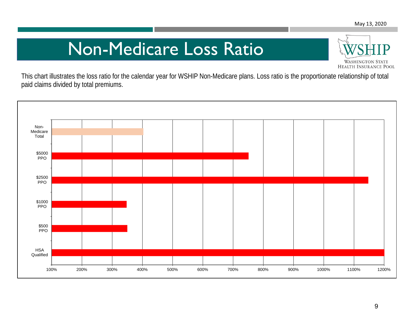## Non-Medicare Loss Ratio



This chart illustrates the loss ratio for the calendar year for WSHIP Non-Medicare plans. Loss ratio is the proportionate relationship of total paid claims divided by total premiums.

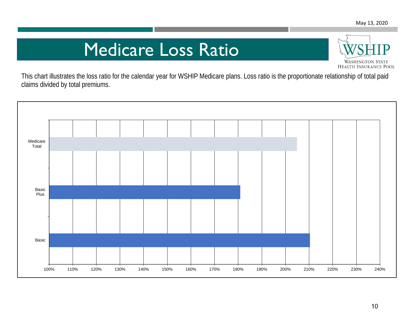### Medicare Loss Ratio



This chart illustrates the loss ratio for the calendar year for WSHIP Medicare plans. Loss ratio is the proportionate relationship of total paid claims divided by total premiums.

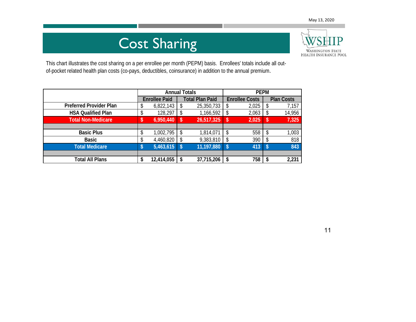### Cost Sharing



This chart illustrates the cost sharing on a per enrollee per month (PEPM) basis. Enrollees' totals include all outof-pocket related health plan costs (co-pays, deductibles, coinsurance) in addition to the annual premium.

|                                | <b>Annual Totals</b> |                      |     |                        | <b>PEPM</b> |                       |    |                   |  |
|--------------------------------|----------------------|----------------------|-----|------------------------|-------------|-----------------------|----|-------------------|--|
|                                |                      | <b>Enrollee Paid</b> |     | <b>Total Plan Paid</b> |             | <b>Enrollee Costs</b> |    | <b>Plan Costs</b> |  |
| <b>Preferred Provider Plan</b> | \$                   | 6,822,143            | \$  | 25,350,733             | \$          | 2,025                 |    | 7,157             |  |
| <b>HSA Qualified Plan</b>      | \$                   | 128,297              | S   | 1,166,592              | S           | 2,063                 |    | 14,956            |  |
| <b>Total Non-Medicare</b>      | \$                   | 6,950,440            | -\$ | 26,517,325             | \$          | 2,025                 | S  | 7,325             |  |
|                                |                      |                      |     |                        |             |                       |    |                   |  |
| <b>Basic Plus</b>              | \$                   | 1,002,795            | \$  | 1,814,071              | \$          | 558                   | \$ | 1,003             |  |
| Basic                          | \$                   | 4,460,820            | \$  | 9,383,810              | \$          | 390                   |    | 818               |  |
| <b>Total Medicare</b>          |                      | 5,463,615            | -S  | 11,197,880             | S           | 413                   | S  | 843               |  |
|                                |                      |                      |     |                        |             |                       |    |                   |  |
| <b>Total All Plans</b>         | \$                   | 12,414,055           |     | 37,715,206             | \$          | 758                   |    | 2,231             |  |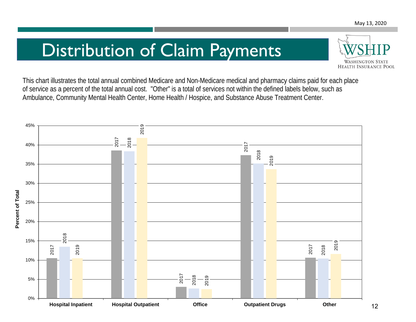### Distribution of Claim Payments



This chart illustrates the total annual combined Medicare and Non-Medicare medical and pharmacy claims paid for each place of service as a percent of the total annual cost. "Other" is a total of services not within the defined labels below, such as Ambulance, Community Mental Health Center, Home Health / Hospice, and Substance Abuse Treatment Center.

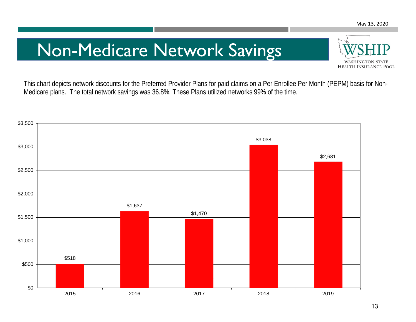### Non-Medicare Network Savings



This chart depicts network discounts for the Preferred Provider Plans for paid claims on a Per Enrollee Per Month (PEPM) basis for Non-Medicare plans. The total network savings was 36.8%. These Plans utilized networks 99% of the time.

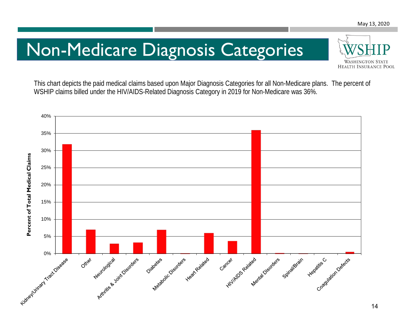## Non-Medicare Diagnosis Categories



This chart depicts the paid medical claims based upon Major Diagnosis Categories for all Non-Medicare plans. The percent of WSHIP claims billed under the HIV/AIDS-Related Diagnosis Category in 2019 for Non-Medicare was 36%.